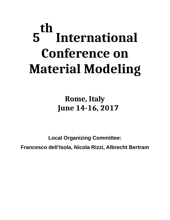# **5 th International Conference on Material Modeling**

## **Rome, Italy June 14-16, 2017**

**Local Organizing Committee: Francesco dell'Isola, Nicola Rizzi, Albrecht Bertram**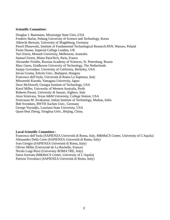#### **Scientific Committee:**

Douglas J. Bammann, Mississippi State Univ.,USA Frederic Barlat, Pohang University of Science and Technology, Korea Albrecht Bertram, University of Magdeburg, Germany Pawel Dluzewski, Institute of Fundamental Technological Research PAN, Warsaw, Poland Fionn Dunne, Imperial College London, UK Yuri Estrin, Monash University, Melbourne, Australia Samuel Forest, Mines ParisTech, Paris, France Alexander Freidin, Russian Academy of Sciences, St. Petersburg, Russia Marc Geers, Eindhoven University of Technology, The Netherlands Sanjay Govindjee, University of California, Berkeley, USA Istvan Groma, Eötvös Univ., Budapest, Hungary Francesco dell'Isola, Università di Roma La Sapienza, Italy Mitsutoshi Kuroda, Yamagata University, Japan Dave McDowell, Georgia Institute of Technology, USA Karol Miller, University of Western Australia, Perth Roberto Paroni, University di Sassari, Alghero, Italy Arun Srinivasa, Texas A&M University, College Station, USA Srinivasan M. Sivakumar, Indian Institute of Technology, Madras, India Bob Svendsen, RWTH Aachen Univ., Germany George Voyiadjis, Lousiana State University, USA Quan-Shui Zheng, Tsinghua Univ., Beijing, China.

### **Local Scientific Committee :**

Francesco dell'Isola (SAPIENZA Università di Roma, Italy, M&MoCS Center, University of L'Aquila) Alessandro Della Corte (SAPIENZA Università di Roma, Italy) Ivan Giorgio (SAPIENZA Università di Roma, Italy) Olivier Millet (Universitè de La Rochelle, France) Nicola Luigi Rizzi (University ROMA TRE, Italy) Daria Scerrato (M&MoCS Center, University of L'Aquila) Patrizia Trovalusci (SAPIENZA Università di Roma, Italy)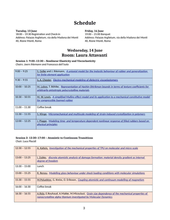### **Schedule**

**Tuesday, 13 June**  18:00 – 19:30 Registration and Check-in Address: Palazzo Argiletum, via della Madona dei Monti 40, Rione Monti, Roma

**Friday, 16 June** 

19:00 – 21:00 Banquet Address: Palazzo Argiletum, via della Madona dei Monti 40, Rione Monti, Roma

### **Wednesday, 14 June Room: Laura Attavanti**

#### **Session 1: 9:00–12:30 – Nonlinear Elasticity and Viscoelasticity**

*Chairs: Joern Ihlemann and Francesco dell'Isola*

| $9:00 - 9:25$   | S. Gelke and J. Ihlemann, A uniaxial model for the inelastic behaviour of rubber and generalization<br>for finite element application                    |
|-----------------|----------------------------------------------------------------------------------------------------------------------------------------------------------|
| $9:30 - 9:55$   | S. A. Chester, Electro-mechanical modeling of dielectric viscoelastomers                                                                                 |
| $10:00 - 10:25$ | M. Lobos, T. Böhlke, Representation of Hashin-Shtrikman bounds in terms of texture coefficients for<br>arbitrarily anisotropic polycrystalline materials |
| $10:30 - 10:55$ | M. W. Lewis, A simplified Mullins effect model and its application to a mechanical constitutive model<br>for compressible foamed rubber                  |
| $11:00 - 11:30$ | Coffee break                                                                                                                                             |
| $11:30 - 11:55$ | S. Klinge, Micromechanical and multiscale modeling of strain-induced crystallization in polymers                                                         |
| $12:00 - 12:25$ | J. Plagge, Modeling time- and temperature dependent nonlinear response of filled rubbers based on<br>physical principles                                 |

#### **Session 2: 12:30–17:00 – Atomistic to Continuum Transitions** *Chair: Luca Placidi*

| $12:30 - 12:55$ | A. Kalteis, Investigation of the mechanical properties of TPU on molecular and micro scale                                                                                 |
|-----------------|----------------------------------------------------------------------------------------------------------------------------------------------------------------------------|
| $13:00 - 13:25$ | <u>I. Zubko, discrete atomistic analysis of damage formation: material density gradient as internal</u><br>degree of freedom                                               |
| $13:30 - 15:00$ | Lunch                                                                                                                                                                      |
| $15:00 - 15:25$ | R. Renou, Modelling glass behaviour under shock loading conditions with molecular simulations                                                                              |
| $15:30 - 15:55$ | M.Poluektov, G. Kreiss, O. Eriksson, Coupling atomistic and continuum modelling of magnetism                                                                               |
| $16:00 - 16:30$ | Coffee break                                                                                                                                                               |
| $16:30 - 16:55$ | A.Rida, E.Rouhaud, A.Makke, M.Micoulaut, <i>Grain size dependence of the mechanical properties of</i><br>nanocrystalline alpha titanium investigated by Molecular Dynamics |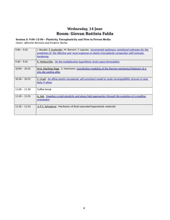### **Wednesday, 14 June Room: Giovan Battista Falda**

**Session 3: 9:00–12:00 – Plasticity, Viscoplasticity and Flow in Porous Media** *Chairs: Albrecht Bertram and Frederic Barlat*

| $9:00 - 9:25$   | J. Boudet, <u>F. Auslender,</u> M. Bornert, Y. Lapusta, <u>Incremental stationary variational estimates for the</u><br>prediction of the effective and local responses in elasto-(visco)plastic composites with isotropic<br><u>hardening</u> |
|-----------------|-----------------------------------------------------------------------------------------------------------------------------------------------------------------------------------------------------------------------------------------------|
| $9:30 - 9:55$   | <u>K. Heiduschke, On the multiplicative logarithmic strain space formulation</u>                                                                                                                                                              |
| $10:00 - 10:25$ | M.A. Martinez Page,S. Hartmann, Constitutive modeling of the thermo-mechanical behavior of a<br>zinc die-casting alloy                                                                                                                        |
| $10:30 - 10:55$ | <u>S. Lhadi, An affine elastic-viscoplastic self-consistent model to study incompatibility stresses in near</u><br><u>beta-Ti alloys</u>                                                                                                      |
| $11:00 - 11:30$ | Coffee break                                                                                                                                                                                                                                  |
| $11:30 - 11:55$ | A. Ask, Coupling crystal plasticity and phase field approaches through the evolution of crystalline<br>orientation                                                                                                                            |
| $11:30 - 11:55$ | A.P.S. Selvadurai,Mechanics of fluid-saturated hyperelastic materials                                                                                                                                                                         |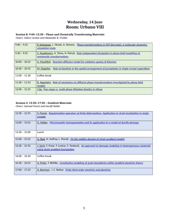### **Wednesday, 14 June Room: Urbano VIII**

### **Session 8: 9:00–12:30 – Phase and Chemically Transforming Materials**

*Chairs: Valery Levitas and Alexander B. Freidin*

| $9:00 - 9:25$   | P. Srinivasan, L. Nicola, A. Simone, <i>Phase transformations in NiTi bicrystals: a molecular dynamics</i><br>simulation study |
|-----------------|--------------------------------------------------------------------------------------------------------------------------------|
| $9:30 - 9:55$   | S. Stupkiewicz, K. Tůma, H. Petryk, Rate-independent dissipation in phase-field modelling of<br>martensitic transformations    |
| $10:00 - 10:25$ | U. Muehlich, Reaction-diffusion model for oxidative ageing of bitumen                                                          |
| $10:30 - 10:55$ | Role of elasticity in the spatial arrangement of precipitates in single-crystal superalloys<br>M. Degeiter,                    |
| $11:00 - 11:30$ | Coffee break                                                                                                                   |
| $11:30 - 11:55$ | B. Appolaire, Role of mechanics on diffusive phase transformations investigated by phase field<br>models                       |
| $12:00 - 12:25$ | J.Qu, Two-stage vs. multi-phase lithiation kinetics in silicon                                                                 |

#### **Session 4: 12:30–17:30 – Gradient Materials**

*Chairs: Samuel Forest and Geralf Hütter*

| $12:30 - 12:55$ | Regularization operators at finite deformations. Application to strain localization in single<br>S. Forest,<br>crystals                     |
|-----------------|---------------------------------------------------------------------------------------------------------------------------------------------|
| $13:00 - 13:25$ | <u>G. Hütter, Micromorphic homogenization and its application to a model of ductile damage</u>                                              |
| $13:30 - 15:00$ | Lunch                                                                                                                                       |
| $15:00 - 15:25$ | G. Rosi, N. Auffray, L. Placidi, On the validity domain of strain gradient models                                                           |
| $15:30 - 15:55$ | J. Sorić, F. Putar, T. Lesičar, Z. Tonković, An approach to damage modeling in heterogeneous materials<br>using strain gradient formulation |
| $16:00 - 16:30$ | Coffee break                                                                                                                                |
| $16:30 - 16:55$ | A. Prahs, T. Böhlke, Constitutive modeling of grain boundaries within gradient plasticity theory                                            |
| $17:00 - 17:25$ | A. Bertram, J. C. Reiher, Finite third-order elasticity and plasticity                                                                      |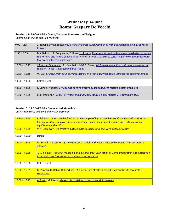### **Wednesday, 14 June Room: Gaspare De Vecchi**

### **Session 11: 9:00–12:30 – Creep, Damage, Fracture, and Fatigue**

*Chairs: Fionn Dunne and Rolf Mahnken*

| $9:00 - 9:25$   | Z. Zebang, Investigation of slip transfer across grain boundaries with application to cold dwell facet<br>fatigue                                                                                                                                      |
|-----------------|--------------------------------------------------------------------------------------------------------------------------------------------------------------------------------------------------------------------------------------------------------|
| $9:30 - 9:55$   | B.A. Behrens, A. Bouguecha, C. Bonk, H. Schulze, Experimental and finite element analysis concerning<br>the forming and failure behaviour of symmetric hybrid structures consisting of two sheet metal outer<br><u>layers and a thermoplastic core</u> |
| $10:00 - 10:25$ | J.A.W. van Dommelen, A. Mannheim, M.G.D. Geers, Multi-scale modelling of structure evolution in<br>tungsten under irradiation and heat loads                                                                                                           |
| $10:30 - 10:55$ | W. David, Crack-grain boundary interactions in zirconium investigated using stored energy methods                                                                                                                                                      |
| $11:00 - 11:30$ | Coffee break                                                                                                                                                                                                                                           |
| $11:30 - 11:55$ | <u>F. Dunne, Multiscale modelling of temperature-dependent dwell fatigue in titanium alloys</u>                                                                                                                                                        |
| $12:00 - 12:25$ | M.R. Daymond Impact of irradiation and temperature on deformation of a zirconium alloy                                                                                                                                                                 |

#### **Session 5: 12:30–17:30 – Generalised Materials**

*Chairs: Francesco dell'Isola and Victor Eremeyev*

| $12:30 - 12:55$ | <u>F. dell'Isola, Pantographic lattices as an example of higher gradient continua: heuristic vs rigorous</u><br>homogenisation, macroscopic vs microscopic models, experimental and numerical examples of<br>equilibrium and motion |
|-----------------|-------------------------------------------------------------------------------------------------------------------------------------------------------------------------------------------------------------------------------------|
| $13:00 - 13:25$ | <u>V. A. Eremeyev, On effective surface elastic moduli for media with surface stresses</u>                                                                                                                                          |
| $13:30 - 15:00$ | Lunch                                                                                                                                                                                                                               |
| $15:00 - 15:25$ | <u>Derivation of some interface models with microstructure by means of an asymptotic</u><br>M. Serpilli,<br><b>analysis</b>                                                                                                         |
| $15:30 - 15:55$ | T. G. Zielinski, Material modelling and experimental verification of wave propagation and absorption<br>in periodic structures of pores of single or various sizes                                                                  |
| $16:00 - 16:30$ | Coffee break                                                                                                                                                                                                                        |
| $16:30 - 16:55$ | M. Ameen, O. Rokos, R. Peerlings, M. Geers, Size effects in periodic materials with low scale<br>separation                                                                                                                         |
| $17:00 - 17:25$ | A. Rege, M. Itskov, Meso-scale modeling of polysaccharidic aerogels                                                                                                                                                                 |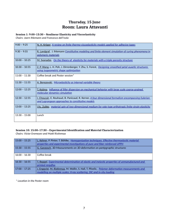### **Thursday, 15 June Room: Laura Attavanti**

#### **Session 1: 9:00–13:30 – Nonlinear Elasticity and Viscoelasticity**

*Chairs: Joern Ihlemann and Francesco dell'Isola*

| $9:00 - 9:25$   | N. H. Kröger, A review on finite thermo-viscoelasticity models applied for adhesive tapes                                                                      |
|-----------------|----------------------------------------------------------------------------------------------------------------------------------------------------------------|
| $9:30 - 9:55$   | R. Landgraf, J. Ihlemann Constitutive modeling and finite element simulation of curing phenomena in<br><u>polymeric materials</u>                              |
| $10:00 - 10:25$ | M. Svanadze, On the theory of elasticity for materials with a triple porosity structure                                                                        |
| $10:30 - 10:55$ | Z. P. Wang, L. H. Poh, J. Dirrenberger, Y. Zhu, S. Forest, Designing smoothed petal auxetic structures<br>using isogeometric shape optimization                |
| $11:00 - 11:30$ | Coffee break and Poster session*                                                                                                                               |
| $11:30 - 11:55$ | A. Berezovski, Microelasticity as internal variable theory                                                                                                     |
| $12:00 - 12:25$ | T. Kojima, Influence of filler dispersion on mechanical behavior with large scale coarse-grained<br><u>molecular dynamics simulation</u>                       |
| $12:30 - 12:55$ | I. Choucair, E. Rouhaud, B. Panicaud, R. Kerner, <i>A four dimensional formalism encompassing Eulerian</i><br>and Lagrangean approaches to constitutive models |
| $13:00 - 13:25$ | <u>I.Yu. Zubko, material spin of two-dimensional medium for rate-type orthotropic finite-strain elasticity</u>                                                 |
| $13:30 - 15:00$ | Lunch                                                                                                                                                          |

### **Session 10: 15:00–17:30 – Experimental Identification and Material Characterization**

*Chairs: Victor Eremeyev and Matti Ristinmaa*

| $15:00 - 15:25$ | L. Kehrer, P. Pinter, T. Böhlke, Homogenization techniques. Effective thermoelastic material<br>properties and experimental investigations of pure and fiber reinforced UPPH |
|-----------------|------------------------------------------------------------------------------------------------------------------------------------------------------------------------------|
| $15:30 - 15:55$ | G. Ganzosch, 3D-Measurements on 3D-deformation on pantpgraphic structures                                                                                                    |
| $16:00 - 16:30$ | Coffee break                                                                                                                                                                 |
| $16:30 - 16:55$ | T. Reppel, Experimental determination of elastic and inelastic properties of unmanufactured and<br>printed ninjaflex                                                         |
| $17:00 - 17:25$ | J. Engqvist, M. Ristinmaa, M. Wallin, S. Hall, T. Plivelic, Polymer deformation measurements and<br>modelling on multiple scales: X-ray scattering, DIC and in-situ loading  |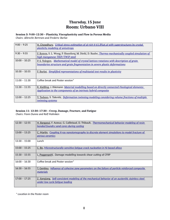### **Thursday, 15 June Room: Urbano VIII**

### **Session 3: 9:00–12:30 – Plasticity, Viscoplasticity and Flow in Porous Media**

*Chairs: Albrecht Bertram and Frederic Barlat*

| $9:00 - 9:25$   | H. Chowdhury, Critical stress estimation of al-rich ti-61.8% at al with superstructures by crystal<br>plasticity modeling of anisotropy                                 |
|-----------------|-------------------------------------------------------------------------------------------------------------------------------------------------------------------------|
| $9:30 - 9:55$   | F. Roters, S. L. Wong, P. Shanthraj, M. Diehl, D. Raabe, <i>Thermo-mechanically coupled simulation of</i><br>high manganese TRIP/TWIP steel                             |
| $10:00 - 10:25$ | P.S. Volegov, Mathematical model of crystal lattices rotations with description of grain<br>boundaries structure and grain fragmentation in severe plastic deformations |
| $10:30 - 10:55$ | F. Barlat, Simplified representations of multiaxial test results in plasticity                                                                                          |
| $11:00 - 11:30$ | Coffee break and Poster session*                                                                                                                                        |
| $11:30 - 11:55$ | R. Kießling, J. Ihlemann Material modelling based on directly connected rheological elements:<br>Application to the components of an intrinsic hybrid composite         |
| $12:00 - 12:25$ | Y. Tadano, S. Takeshi, Deformation twinning modeling considering volume fractions of multiple<br>twinning systems                                                       |

#### **Session 11: 12:30–17:30 – Creep, Damage, Fracture, and Fatigue**

*Chairs: Fionn Dunne and Rolf Mahnken*

| $12:30 - 12:55$ | H. Bargaoui, F. Azzouz, G. Cailletaud, D. Thibault, <i>Thermomechanical behavior modeling of resin</i><br><u>bonded foundry sand cores during casting</u> |
|-----------------|-----------------------------------------------------------------------------------------------------------------------------------------------------------|
| $13:00 - 13:25$ | C. Martin, Coupling X-ray nanotomography to discrete element simulations to model fracture of<br>porous ceramics                                          |
| $13:30 - 15:00$ | Lunch                                                                                                                                                     |
| $15:00 - 15:25$ | C. Bo, Microstructurally-sensitive fatigue crack nucleation in Ni-based alloys                                                                            |
| $15:30 - 15:55$ | L. Poggenpohl, Damage modelling towards shear cutting of CFRP                                                                                             |
| $16:00 - 16:30$ | Coffee break and Poster session*                                                                                                                          |
| $16:30 - 16:55$ | T. Gentieu, Influence of cohesive zone parameters on the failure of particle reinforced composite<br>materials                                            |
| $17:00 - 17:25$ | <u>Z. Jiangiang, Self-consistent modeling of the mechanical behavior of an austenitic stainless steel</u><br>under low cycle fatigue loading              |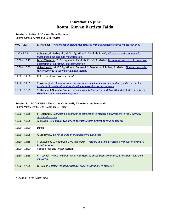### **Thursday, 15 June Room: Giovan Battista Falda**

### **Session 4: 9:00–12:30 – Gradient Materials**

*Chairs: Samuel Forest and Geralf Hütter*

| $9:00 - 9:25$   | R. Mahnken, The concept of generalized stresses with applications to three model scenarios                                                                       |
|-----------------|------------------------------------------------------------------------------------------------------------------------------------------------------------------|
| $9:30 - 9:55$   | A. Madeo, G. Barbagallo, M. V. d'Agostino, A. Aivaliotis, P. Neff, Dispersion and band-gaps in<br>micromorphic media and metamaterials                           |
| $10:00 - 10:25$ | M. V. D'Agostino, G. Barbagallo, A. Aivaliotis, P. Neff, A. Madeo, <i>Transparent relaxed micromorphic</i><br>description of anisotropy in metamaterials         |
| $10:30 - 10:55$ | G. Barbagallo, M. V. D'Agostino, A. Daouadji, S. Belouettar, P. Boisse, A. Madeo, Fibrous composite<br>reinforcements as second gradient materials               |
| $11:00 - 11:30$ | Coffee break and Poster session*                                                                                                                                 |
| $11:30 - 11:55$ | S. Wulfinghoff, A generalized cohesive zone model and a grain boundary yield criterion for<br>gradient plasticity without application of virtual power arguments |
| $12:00 - 12:25$ | S. Khakalo, J. Niiranen, <i>Strain gradient elasticity theory for modeling 2D and 3D lattice structures:</i><br>size-dependent mechanical response               |

#### **Session 8: 12:30–17:30 – Phase and Chemically Transforming Materials**

*Chairs: Valery Levitas and Alexander B. Freidin*

| $12:30 - 12:55$ | M. Budnitzki, A phasefield approach to tetragonal-to-monoclinic transitions in MgO partially<br>stabilized zirconia            |
|-----------------|--------------------------------------------------------------------------------------------------------------------------------|
| $13:00 - 13:25$ | A. Freidin, Equilibrium two-phase microstructures against optimal composite                                                    |
| $13:30 - 15:00$ | Lunch                                                                                                                          |
| $15:00 - 15:25$ | Y. Grabovsky, Lower bounds on the binodal via jump sets                                                                        |
| $15:30 - 15:55$ | C. Lexcellent, D. Vigoureux, J-M. Vigoureux, Pressure in a tank associated with water-ice phase<br>transformation              |
| $16:00 - 16:30$ | Coffee break and Poster session*                                                                                               |
| $16:30 - 16:55$ | <u>V. I. Levitas, Phase field approach to martensitic phase transformations, dislocations, and their</u><br><i>interaction</i> |
| $17:00 - 17:25$ | O.Naimark, Defect induced structural-scaling transitions in materials                                                          |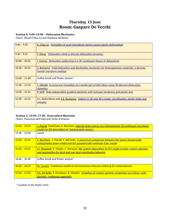### **Thursday, 15 June Room: Gaspare De Vecchi**

### **Session 6: 9:00–13:00 – Dislocation Mechanics**

*Chairs: Khanh Chau Le and Stephane Berbenni*

| $9:00 - 9:25$   | <u>K. Chau Le, Formation of grain boundaries during severe plastic deformation</u>                                                   |
|-----------------|--------------------------------------------------------------------------------------------------------------------------------------|
| $9:30 - 9:55$   | Y. Xiang, Dislocation climb in discrete dislocation dynamics                                                                         |
| $10:00 - 10:25$ | <b>I. Groma, Dislocation patterning in a 2D continuum theory of dislocations</b>                                                     |
| $10:30 - 10:55$ | <u>S. Berbenni, Field dislocation and disclination mechanics for heterogeneous materials: a discrete</u><br>Fourier transform method |
| $11:00 - 11:30$ | Coffee break and Poster session*                                                                                                     |
| $11:30 - 11:55$ | <u>T. Záležák, A numerical simulation of a tensile test of ODS alloys using 3D discrete dislocation</u><br>dynamics                  |
| $12:00 - 12:25$ | <u>P. Neff, Rate-independent gradient plasticity with isotropic hardening and plastic spin</u>                                       |
| $12:30 - 12:55$ | A.L. Kolesnikova and A.E. Romanov, Defects in 2D and 3D crystals: classification, elastic fields and<br>energies                     |

#### **Session 5: 13:00–17:30– Generalised Materials**

*Chairs: Francesco dell'Isola and Victor Eremeyev*

| $13:00 - 13:25$ | L. Placidi, F.dell'Isola, E. Barchiesi, Internal strain energy of a homogenized 1D continuum non-linear<br>model for the description of "pantographic beams"             |
|-----------------|--------------------------------------------------------------------------------------------------------------------------------------------------------------------------|
| $13:30 - 15:00$ | Lunch.                                                                                                                                                                   |
| $15:00 - 15:25$ | E. Barchiesi, L. Placidi, F. dell'Isola, A numerical comparison between the (quasi-)inextensible<br>pantographic beam model and the geometrically nonlinear Euler model  |
| $15:30 - 15:55$ | J.L. Dequiedt, R. Madec, C. Denoual, Slip system interactions in FCC single crystals: system selection<br>and segregation for local and non-local constitutive behavior. |
| $16:00 - 16:30$ | Coffee break and Poster session*                                                                                                                                         |
| $16:30 - 16:55$ | M. Cuomo, Continuum model of microstructure induced softening for metamaterials                                                                                          |
| $17:00 - 17:30$ | ML. De Bellis, P. Trovalusci, R. Masiani, Modeling of random particle composites via a three-scale<br>discrete-continuous approach                                       |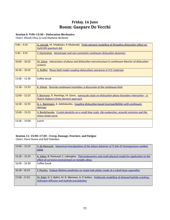### **Friday, 16 June Room: Gaspare De Vecchi**

### **Session 6: 9:00–13:30 – Dislocation Mechanics**

*Chairs: Khanh Chau Le and Stephane Berbenni*

| $9:00 - 9:25$   | G. Jurczak, M. Maździarz, P. Dłużewski, Finite element modelling of threading dislocation effect on<br>GaN/AIN quantum dot                                 |
|-----------------|------------------------------------------------------------------------------------------------------------------------------------------------------------|
| $9:30 - 9:55$   | T. Hochrainer, Anisotropic and non-symmetric continuum dislocation dynamics                                                                                |
| $10:00 - 10:25$ | M. Zaiser, Interactions of phase and dislocation microstructure in continuum theories of dislocation<br>systems                                            |
| $10:30 - 10:55$ | A. Ruffini, <i>Phase-field model coupling dislocations and pores in FCC materials</i>                                                                      |
| $11:00 - 11:30$ | Coffee break                                                                                                                                               |
| $11:30 - 11:55$ | K. Schulz, Discrete-continuum transition: a discussion of the continuum limit                                                                              |
| $12:00 - 12:25$ | <b><u>F. Bormann, R. Peerlings, M. Geers, nanoscale study on dislocation-phase boundary interaction - a</u></b><br>Peierls-Nabarro finite element approach |
| $12:30 - 12:55$ | D. J. Bammann, A. Adetokunbo, Coupling dislocation based incompatibilities with continuum<br><u>damage</u>                                                 |
| $13:00 - 13:25$ | V. Berdichevsky, Crystal plasticity on a small time scale, slip avalanches, acoustic emission and the<br>stress-strain curve                               |
| $13:30 - 15:00$ | Lunch                                                                                                                                                      |

#### **Session 11: 15:00–17:30 – Creep, Damage, Fracture, and Fatigue**

*Chairs: Fionn Dunne and Rolf Mahnken*

| $15:00 - 15:25$ | V. de Rancourt, Numerical investigations of the failure behavior of Ti-6Al-4V homogeneous welded<br><i>joints</i>                                                 |
|-----------------|-------------------------------------------------------------------------------------------------------------------------------------------------------------------|
| $15:30 - 15:55$ | K. Saliya, B. Panicaud, C. Labergère, <i>Thermodynamics and multi-physical model for application to the</i><br>effect of corrosive environment on metallic alloys |
| $16:00 - 16:30$ | Coffee break                                                                                                                                                      |
| $16:30 - 16:55$ | F. Pereira, Fatigue lifetime prediction on single hole plates made of a cobalt base superalloy                                                                    |
| $17:00 - 17:25$ | M. Patel, D. S. Balint, M. R. Wenman, A. P. Sutton, Multiscale modelling of delayed hydride cracking:<br>hydrogen diffusion and hydride precipitation             |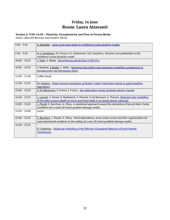### **Friday, 16 June Room: Laura Attavanti**

#### **Session 3: 9:00–16:00 – Plasticity, Viscoplasticity and Flow in Porous Media**

*Chairs: Albrecht Bertram and Frederic Barlat*

| $9:00 - 9:25$   | A. Shveykin, Large strain description in multilevel crystal plasticity models                                                                                                                    |
|-----------------|--------------------------------------------------------------------------------------------------------------------------------------------------------------------------------------------------|
| $9:30 - 9:55$   | N. S. Kondratev, P.V. Trusov, E.S. Makarevich, N.D. Nyashina, Dynamic recrystallization in the<br>multilevel crystal plasticity model                                                            |
| $10:00 - 10:25$ | J. Tabin, S. Błażej, Discontinuous plastic flow in NbTi/Cu                                                                                                                                       |
| $10:30 - 10:55$ | F. Baptiste, F. Barbe, C. Keller, Numerical description and experience-modelling comparisons of<br>bimodal grain size distribution alloys                                                        |
| $11:00 - 11:30$ | Coffee break                                                                                                                                                                                     |
| $11:30 - 11:55$ | M. Maziere, Finite element simulation of Piobert-Lüders-Hartmann bands in polycrystalline<br>aggregates                                                                                          |
| $12:00 - 12:25$ | S. Dj. Mesarovic, S. Forest, J. P. Jaric, Size-dependent energy of elastic-plastic crystals                                                                                                      |
| $12:30 - 12:55$ | L. Lacourt, S. Forest, D. Ryckelynck, S. Flouriot, V. de Rancourt, A. Thomas, Reduced order modelling<br>of the effect of pore depth on stress and strain fields in an elastic-plastic substrate |
| $13:00 - 13:25$ | L. Placidi, E. Barchiesi, A. Misra, A variational approach toward the derivation of Karush-Kuhn-Tucker<br>conditions for a novel 2D strain gradient damage model.                                |
| $13:30 - 15:00$ | Lunch                                                                                                                                                                                            |
| $15:00 - 15:25$ | E. Barchiesi, L. Placidi, A. Misra, Mesh-dependency, stress-strain curves and their regularization for<br>some benchmark problems in the setting of a new 2D strain gradient damage model.       |
| $15:30 - 15:55$ | O. Castelnau, Multiscale Modelling of the Effective Viscoplastic Behavior of Earth Mantle<br><b>Constituants</b>                                                                                 |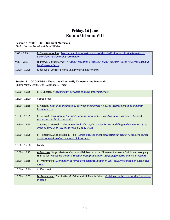### **Friday, 16 June Room: Urbano VIII**

#### **Session 4: 9:00–10:30 – Gradient Materials**

*Chairs: Samuel Forest and Geralf Hütter*

| $9:00 - 9:25$   | E. Diamantopoulou, An experimental-numerical study of the plastic flow localization based on a<br>generalized micromorphic formulation |
|-----------------|----------------------------------------------------------------------------------------------------------------------------------------|
| $9:30 - 9:55$   | H. Petryk, S. Stupkiewicz, A natural extension of classical crystal plasticity to slip-rate gradients and<br>length-scale effects      |
| $10:00 - 10:25$ | F. dell'Isola, Contact actions in higher gradient continua                                                                             |

### **Session 8: 10:30–17:30 – Phase and Chemically Transforming Materials**

*Chairs: Valery Levitas and Alexander B. Freidin*

| $10:30 - 10:55$ | S. A. Chester, Modeling light activated shape memory polymers                                                                                                                                        |
|-----------------|------------------------------------------------------------------------------------------------------------------------------------------------------------------------------------------------------|
| $11:00 - 11:30$ | Coffee break                                                                                                                                                                                         |
| $11:30 - 11:55$ | K. Aifantis, Capturing the interplay between mechanically induced interface energies and grain<br>boundary type                                                                                      |
| $12:00 - 12:25$ | L. Brassart, A variational thermodynamic framework for modelling non-equilibrium chemical<br>processes coupled to mechanics                                                                          |
| $12:30 - 12:55$ | T. Bartel, A. Menzel, A thermomechanically coupled model for the modelling and simulation of the<br>cyclic behaviour of NiTi shape memory alloy wires                                                |
| $13:00 - 13:25$ | M. Poluektov, A. B. Freidin, Ł. Figiel, Stress-affected chemical reactions in elasto-viscoplastic solids:<br>application to lithiation of spherical Si particles                                     |
| $13:30 - 15:00$ | Lunch                                                                                                                                                                                                |
| $15:00 - 15:25$ | A. Morozov, Sergei Khakalo, Viacheslav Balobanov, Jarkko Niiranen, Aleksandr Freidin and Wolfgang<br>H. Mueller, Modelling chemical reaction front propagation using isogeometric analysis procedure |
| $15:30 - 15:55$ | M. Muramatsu, A simulation of ferroelastic phase formation in LSCF polycrystal based on phase-field<br>model                                                                                         |
| $16:00 - 16:30$ | Coffee break                                                                                                                                                                                         |
| $16:30 - 16:55$ | M. Petersmann, T. Antretter, G. Cailletaud, U. Ehlenbröcker, Modelling the lath martensite formation<br>in steels                                                                                    |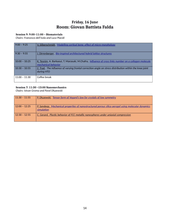### **Friday, 16 June Room: Giovan Battista Falda**

### **Session 9: 9:00–11:00 – Biomaterials**

*Chairs: Francesco dell'Isola and Luca Placidi*

| $9:00 - 9:25$   | V. Silberschmidt, Modelling cortical bone: effect of micro-morphology                                                               |
|-----------------|-------------------------------------------------------------------------------------------------------------------------------------|
| $9:30 - 9:55$   | J. Dirrenberger, Bio-inspired architectured hybrid lattice structures                                                               |
| $10:00 - 10:25$ | K. Tesnim, A. Barkaoui, T. Marzouki, M.Chafra, <i>Influence of cross links number on a collagen molecule</i><br>mechanical behavior |
| $10:30 - 10:55$ | Z. Trad, The influence of varying frontal correction angle on stress distribution within the knee joint<br>during HTO               |
| $11:00 - 11:30$ | Coffee break                                                                                                                        |

### **Session 7: 11:30 –13:00 Nanomechanics**

*Chairs: Istvan Groma and Pavel Dłuzewski*

| $11:30 - 11:55$ | P. Dłuzewski, Tensor form of Vegard's law for crystals of low symmetry                                           |
|-----------------|------------------------------------------------------------------------------------------------------------------|
| $12:00 - 12:25$ | P. Sandeep, Mechanical properties of nanostructured porous silica aerogel using molecular dynamics<br>simulation |
| $12:30 - 12:55$ | C. Gerard, Plastic behavior of FCC metallic nanospheres under uniaxial compression                               |